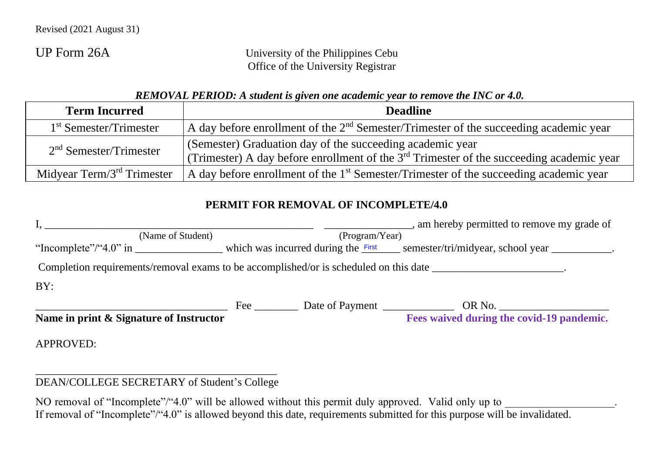UP Form 26A University of the Philippines Cebu Office of the University Registrar

| REMOVAL PERIOD: A student is given one academic year to remove the INC or 4.0. |  |  |
|--------------------------------------------------------------------------------|--|--|
|--------------------------------------------------------------------------------|--|--|

| <b>Term Incurred</b>          | <b>Deadline</b>                                                                                                                                            |
|-------------------------------|------------------------------------------------------------------------------------------------------------------------------------------------------------|
| $1st$ Semester/Trimester      | A day before enrollment of the $2nd$ Semester/Trimester of the succeeding academic year                                                                    |
| $2nd$ Semester/Trimester      | (Semester) Graduation day of the succeeding academic year<br>(Trimester) A day before enrollment of the $3^{rd}$ Trimester of the succeeding academic year |
| Midyear Term/ $3rd$ Trimester | A day before enrollment of the $1st$ Semester/Trimester of the succeeding academic year                                                                    |

## **PERMIT FOR REMOVAL OF INCOMPLETE/4.0**

|                                                                                       |                |                 | am hereby permitted to remove my grade of                                                                               |  |  |
|---------------------------------------------------------------------------------------|----------------|-----------------|-------------------------------------------------------------------------------------------------------------------------|--|--|
| (Name of Student)                                                                     | (Program/Year) |                 |                                                                                                                         |  |  |
|                                                                                       |                |                 | "Incomplete"/"4.0" in _______________ which was incurred during the First semester/tri/midyear, school year __________. |  |  |
| Completion requirements/removal exams to be accomplished/or is scheduled on this date |                |                 |                                                                                                                         |  |  |
| BY:                                                                                   |                |                 |                                                                                                                         |  |  |
|                                                                                       | Fee            | Date of Payment | OR No.                                                                                                                  |  |  |
| Name in print & Signature of Instructor                                               |                |                 | Fees waived during the covid-19 pandemic.                                                                               |  |  |
| <b>APPROVED:</b>                                                                      |                |                 |                                                                                                                         |  |  |

## \_\_\_\_\_\_\_\_\_\_\_\_\_\_\_\_\_\_\_\_\_\_\_\_\_\_\_\_\_\_\_\_\_\_\_\_\_\_\_\_\_\_\_\_ DEAN/COLLEGE SECRETARY of Student's College

NO removal of "Incomplete"/"4.0" will be allowed without this permit duly approved. Valid only up to If removal of "Incomplete"/"4.0" is allowed beyond this date, requirements submitted for this purpose will be invalidated.